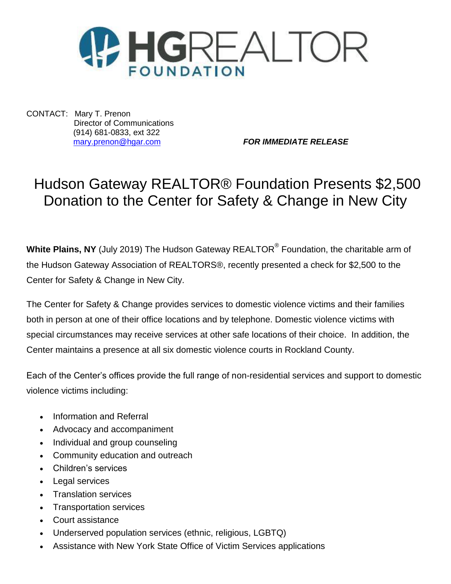

CONTACT: Mary T. Prenon Director of Communications (914) 681-0833, ext 322

[mary.prenon@hgar.com](mailto:mary.prenon@hgar.com) *FOR IMMEDIATE RELEASE*

## Hudson Gateway REALTOR® Foundation Presents \$2,500 Donation to the Center for Safety & Change in New City

**White Plains, NY** (July 2019) The Hudson Gateway REALTOR® Foundation, the charitable arm of the Hudson Gateway Association of REALTORS®, recently presented a check for \$2,500 to the Center for Safety & Change in New City.

The Center for Safety & Change provides services to domestic violence victims and their families both in person at one of their office locations and by telephone. Domestic violence victims with special circumstances may receive services at other safe locations of their choice. In addition, the Center maintains a presence at all six domestic violence courts in Rockland County.

Each of the Center's offices provide the full range of non-residential services and support to domestic violence victims including:

- [Information and Referral](http://www.centerforsafetyandchange.org/what-we-do.html#information-and-referral)
- [Advocacy and accompaniment](http://www.centerforsafetyandchange.org/what-we-do.html#advocacy)
- [Individual and group counseling](http://www.centerforsafetyandchange.org/what-we-do.html#counseling)
- [Community education and outreach](http://www.centerforsafetyandchange.org/what-we-do.html#community-education-and-utreach)
- [Children's services](http://www.centerforsafetyandchange.org/what-we-do.html#childrens-services)
- [Legal services](http://www.centerforsafetyandchange.org/what-we-do.html#local-services)
- [Translation services](http://www.centerforsafetyandchange.org/what-we-do.html#translation-services)
- [Transportation services](http://www.centerforsafetyandchange.org/what-we-do.html#transportation-services)
- Court assistance
- [Underserved population services \(ethnic, religious, LGBTQ\)](http://www.centerforsafetyandchange.org/what-we-do.html#undeserved-populations)
- Assistance with New York State Office of Victim Services applications